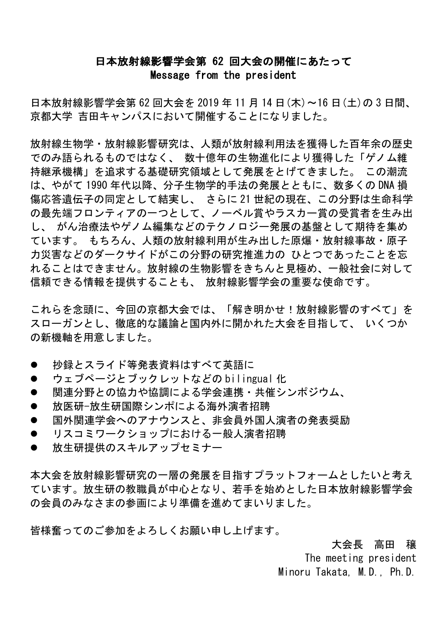## 日本放射線影響学会第 62 回大会の開催にあたって Message from the president

日本放射線影響学会第 62 回大会を 2019 年 11 月 14 日(木)~16 日(土)の 3 日間、 京都大学 吉田キャンパスにおいて開催することになりました。

放射線生物学・放射線影響研究は、人類が放射線利用法を獲得した百年余の歴史 でのみ語られるものではなく、 数十億年の生物進化により獲得した「ゲノム維 持継承機構」を追求する基礎研究領域として発展をとげてきました。 この潮流 は、やがて 1990 年代以降、分子生物学的手法の発展とともに、数多くの DNA 損 傷応答遺伝子の同定として結実し、 さらに 21 世紀の現在、この分野は生命科学 の最先端フロンティアの一つとして、ノーベル賞やラスカー賞の受賞者を生み出 し、 がん治療法やゲノム編集などのテクノロジー発展の基盤として期待を集め ています。 もちろん、人類の放射線利用が生み出した原爆・放射線事故・原子 力災害などのダークサイドがこの分野の研究推進力の ひとつであったことを忘 れることはできません。放射線の生物影響をきちんと見極め、一般社会に対して 信頼できる情報を提供することも、 放射線影響学会の重要な使命です。

これらを念頭に、今回の京都大会では、「解き明かせ!放射線影響のすべて」を スローガンとし、徹底的な議論と国内外に開かれた大会を目指して、 いくつか の新機軸を用意しました。

- 抄録とスライド等発表資料はすべて英語に
- ウェブページとブックレットなどの bilingual 化
- 関連分野との協力や協調による学会連携・共催シンポジウム、
- 放医研-放生研国際シンポによる海外演者招聘
- 国外関連学会へのアナウンスと、非会員外国人演者の発表奨励
- リスコミワークショップにおける一般人演者招聘
- 放生研提供のスキルアップセミナー

本大会を放射線影響研究の一層の発展を目指すプラットフォームとしたいと考え ています。放生研の教職員が中心となり、若手を始めとした日本放射線影響学会 の会員のみなさまの参画により準備を進めてまいりました。

皆様奮ってのご参加をよろしくお願い申し上げます。

大会長 高田 穣

The meeting president Minoru Takata, M.D., Ph.D.